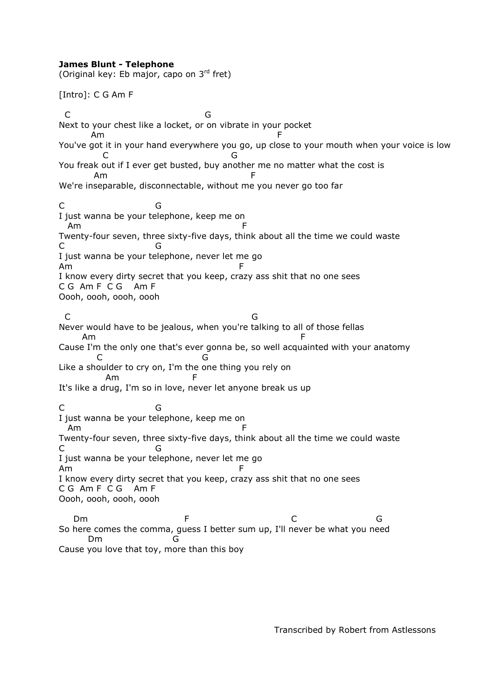## **James Blunt - Telephone**

(Original key: Eb major, capo on  $3<sup>rd</sup>$  fret)

[Intro]: C G Am F

 C G Next to your chest like a locket, or on vibrate in your pocket Am F You've got it in your hand everywhere you go, up close to your mouth when your voice is low **C** G You freak out if I ever get busted, buy another me no matter what the cost is Am F We're inseparable, disconnectable, without me you never go too far C G I just wanna be your telephone, keep me on Am F Twenty-four seven, three sixty-five days, think about all the time we could waste C G I just wanna be your telephone, never let me go Am F I know every dirty secret that you keep, crazy ass shit that no one sees C G Am F C G Am F Oooh, oooh, oooh, oooh C G Never would have to be jealous, when you're talking to all of those fellas Am F Cause I'm the only one that's ever gonna be, so well acquainted with your anatomy C G Like a shoulder to cry on, I'm the one thing you rely on Am It's like a drug, I'm so in love, never let anyone break us up C G I just wanna be your telephone, keep me on Am F Twenty-four seven, three sixty-five days, think about all the time we could waste C G I just wanna be your telephone, never let me go Am F I know every dirty secret that you keep, crazy ass shit that no one sees C G Am F C G Am F Oooh, oooh, oooh, oooh Dm F C G So here comes the comma, guess I better sum up, I'll never be what you need Dm G

Cause you love that toy, more than this boy

Transcribed by Robert from Astlessons